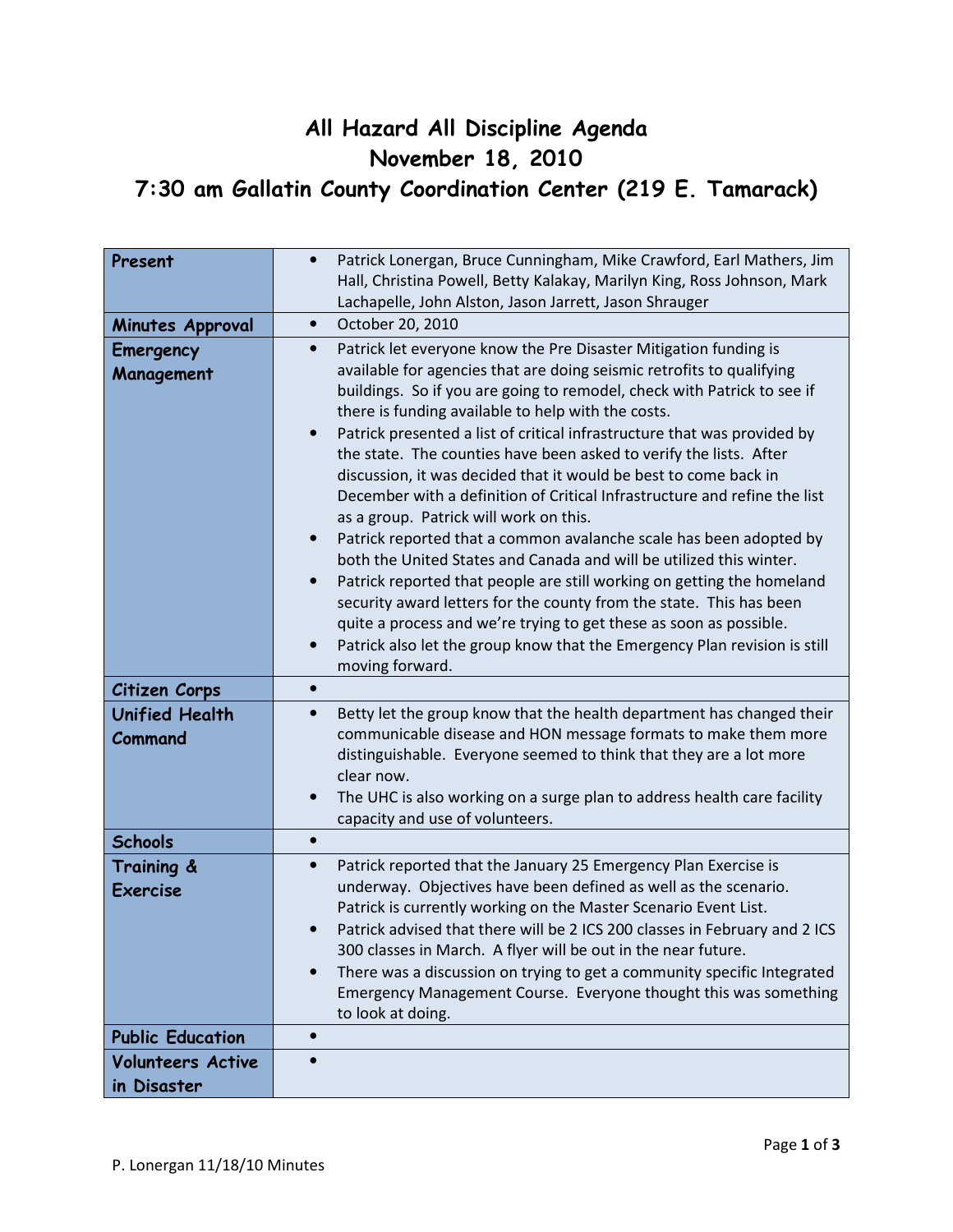## All Hazard All Discipline Agenda November 18, 2010 7:30 am Gallatin County Coordination Center (219 E. Tamarack)

| Present                          | Patrick Lonergan, Bruce Cunningham, Mike Crawford, Earl Mathers, Jim<br>$\bullet$<br>Hall, Christina Powell, Betty Kalakay, Marilyn King, Ross Johnson, Mark<br>Lachapelle, John Alston, Jason Jarrett, Jason Shrauger                                                                                                                                                                                                                                                                                                                                                                                                                                                                                                                                                                                                                                                                                                                                                                                                                                                                                   |
|----------------------------------|----------------------------------------------------------------------------------------------------------------------------------------------------------------------------------------------------------------------------------------------------------------------------------------------------------------------------------------------------------------------------------------------------------------------------------------------------------------------------------------------------------------------------------------------------------------------------------------------------------------------------------------------------------------------------------------------------------------------------------------------------------------------------------------------------------------------------------------------------------------------------------------------------------------------------------------------------------------------------------------------------------------------------------------------------------------------------------------------------------|
| Minutes Approval                 | October 20, 2010<br>$\bullet$                                                                                                                                                                                                                                                                                                                                                                                                                                                                                                                                                                                                                                                                                                                                                                                                                                                                                                                                                                                                                                                                            |
| Emergency<br>Management          | Patrick let everyone know the Pre Disaster Mitigation funding is<br>$\bullet$<br>available for agencies that are doing seismic retrofits to qualifying<br>buildings. So if you are going to remodel, check with Patrick to see if<br>there is funding available to help with the costs.<br>Patrick presented a list of critical infrastructure that was provided by<br>the state. The counties have been asked to verify the lists. After<br>discussion, it was decided that it would be best to come back in<br>December with a definition of Critical Infrastructure and refine the list<br>as a group. Patrick will work on this.<br>Patrick reported that a common avalanche scale has been adopted by<br>both the United States and Canada and will be utilized this winter.<br>Patrick reported that people are still working on getting the homeland<br>security award letters for the county from the state. This has been<br>quite a process and we're trying to get these as soon as possible.<br>Patrick also let the group know that the Emergency Plan revision is still<br>moving forward. |
| Citizen Corps                    | $\bullet$                                                                                                                                                                                                                                                                                                                                                                                                                                                                                                                                                                                                                                                                                                                                                                                                                                                                                                                                                                                                                                                                                                |
| <b>Unified Health</b><br>Command | Betty let the group know that the health department has changed their<br>$\bullet$<br>communicable disease and HON message formats to make them more<br>distinguishable. Everyone seemed to think that they are a lot more<br>clear now.<br>The UHC is also working on a surge plan to address health care facility<br>capacity and use of volunteers.                                                                                                                                                                                                                                                                                                                                                                                                                                                                                                                                                                                                                                                                                                                                                   |
| <b>Schools</b>                   | $\bullet$                                                                                                                                                                                                                                                                                                                                                                                                                                                                                                                                                                                                                                                                                                                                                                                                                                                                                                                                                                                                                                                                                                |
| Training &<br><b>Exercise</b>    | Patrick reported that the January 25 Emergency Plan Exercise is<br>$\bullet$<br>underway. Objectives have been defined as well as the scenario.<br>Patrick is currently working on the Master Scenario Event List.<br>Patrick advised that there will be 2 ICS 200 classes in February and 2 ICS<br>300 classes in March. A flyer will be out in the near future.<br>There was a discussion on trying to get a community specific Integrated<br>Emergency Management Course. Everyone thought this was something<br>to look at doing.                                                                                                                                                                                                                                                                                                                                                                                                                                                                                                                                                                    |
| <b>Public Education</b>          | $\bullet$                                                                                                                                                                                                                                                                                                                                                                                                                                                                                                                                                                                                                                                                                                                                                                                                                                                                                                                                                                                                                                                                                                |
| <b>Volunteers Active</b>         |                                                                                                                                                                                                                                                                                                                                                                                                                                                                                                                                                                                                                                                                                                                                                                                                                                                                                                                                                                                                                                                                                                          |
| in Disaster                      |                                                                                                                                                                                                                                                                                                                                                                                                                                                                                                                                                                                                                                                                                                                                                                                                                                                                                                                                                                                                                                                                                                          |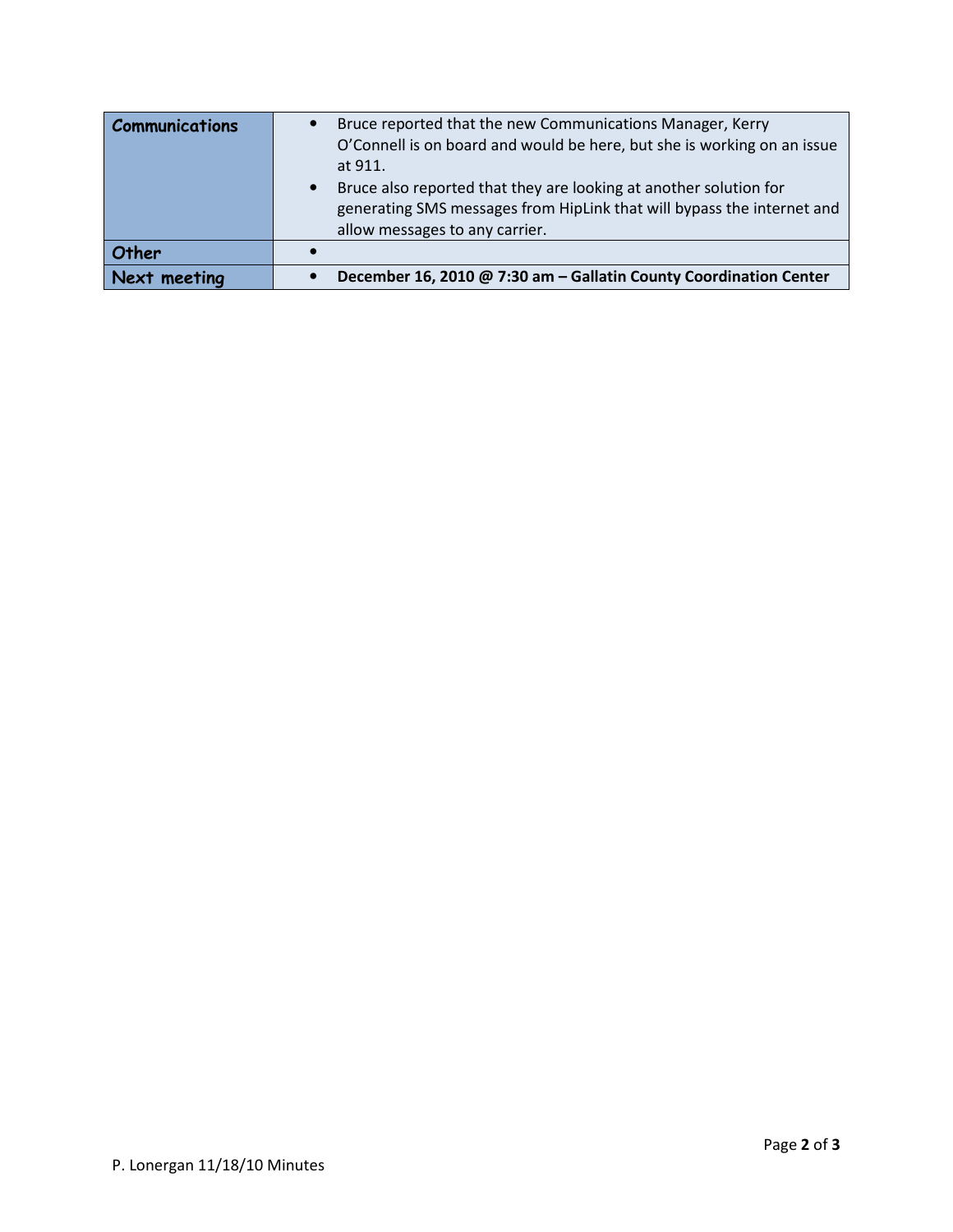| <b>Communications</b> | Bruce reported that the new Communications Manager, Kerry<br>O'Connell is on board and would be here, but she is working on an issue<br>at 911.<br>Bruce also reported that they are looking at another solution for<br>generating SMS messages from HipLink that will bypass the internet and<br>allow messages to any carrier. |
|-----------------------|----------------------------------------------------------------------------------------------------------------------------------------------------------------------------------------------------------------------------------------------------------------------------------------------------------------------------------|
| Other                 |                                                                                                                                                                                                                                                                                                                                  |
| Next meeting          | December 16, 2010 @ 7:30 am - Gallatin County Coordination Center                                                                                                                                                                                                                                                                |